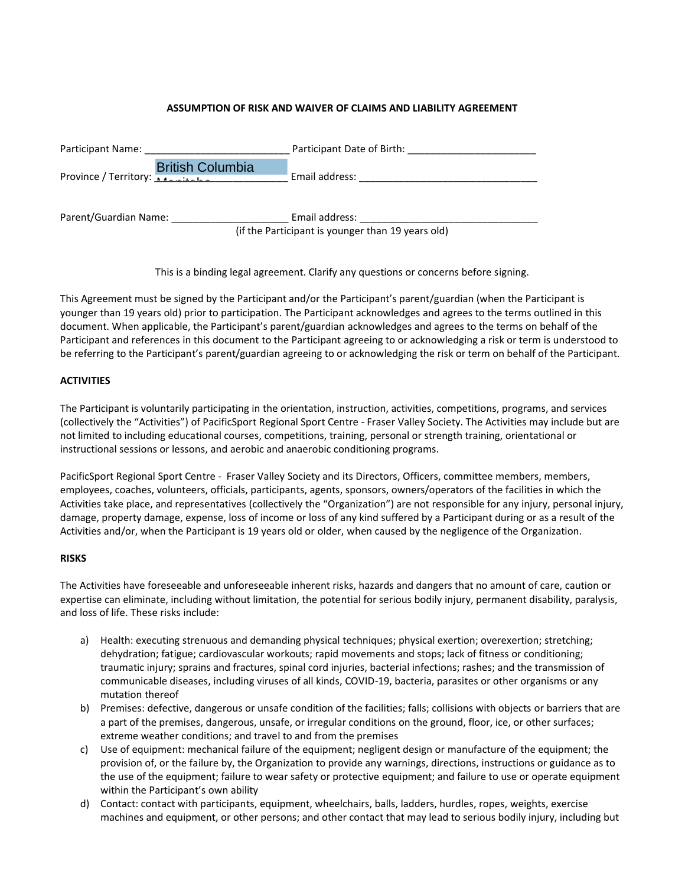# **ASSUMPTION OF RISK AND WAIVER OF CLAIMS AND LIABILITY AGREEMENT**

| Participant Name:                                                           | Participant Date of Birth:                                          |
|-----------------------------------------------------------------------------|---------------------------------------------------------------------|
| <b>British Columbia</b><br>Province / Territory: <b>Additional Province</b> | Email address:                                                      |
| Parent/Guardian Name:                                                       | Email address:<br>(if the Participant is younger than 19 years old) |

This is a binding legal agreement. Clarify any questions or concerns before signing.

This Agreement must be signed by the Participant and/or the Participant's parent/guardian (when the Participant is younger than 19 years old) prior to participation. The Participant acknowledges and agrees to the terms outlined in this document. When applicable, the Participant's parent/guardian acknowledges and agrees to the terms on behalf of the Participant and references in this document to the Participant agreeing to or acknowledging a risk or term is understood to be referring to the Participant's parent/guardian agreeing to or acknowledging the risk or term on behalf of the Participant.

#### **ACTIVITIES**

The Participant is voluntarily participating in the orientation, instruction, activities, competitions, programs, and services (collectively the "Activities") of PacificSport Regional Sport Centre - Fraser Valley Society. The Activities may include but are not limited to including educational courses, competitions, training, personal or strength training, orientational or instructional sessions or lessons, and aerobic and anaerobic conditioning programs.

PacificSport Regional Sport Centre - Fraser Valley Society and its Directors, Officers, committee members, members, employees, coaches, volunteers, officials, participants, agents, sponsors, owners/operators of the facilities in which the Activities take place, and representatives (collectively the "Organization") are not responsible for any injury, personal injury, damage, property damage, expense, loss of income or loss of any kind suffered by a Participant during or as a result of the Activities and/or, when the Participant is 19 years old or older, when caused by the negligence of the Organization.

#### **RISKS**

The Activities have foreseeable and unforeseeable inherent risks, hazards and dangers that no amount of care, caution or expertise can eliminate, including without limitation, the potential for serious bodily injury, permanent disability, paralysis, and loss of life. These risks include:

- a) Health: executing strenuous and demanding physical techniques; physical exertion; overexertion; stretching; dehydration; fatigue; cardiovascular workouts; rapid movements and stops; lack of fitness or conditioning; traumatic injury; sprains and fractures, spinal cord injuries, bacterial infections; rashes; and the transmission of communicable diseases, including viruses of all kinds, COVID-19, bacteria, parasites or other organisms or any mutation thereof
- b) Premises: defective, dangerous or unsafe condition of the facilities; falls; collisions with objects or barriers that are a part of the premises, dangerous, unsafe, or irregular conditions on the ground, floor, ice, or other surfaces; extreme weather conditions; and travel to and from the premises
- c) Use of equipment: mechanical failure of the equipment; negligent design or manufacture of the equipment; the provision of, or the failure by, the Organization to provide any warnings, directions, instructions or guidance as to the use of the equipment; failure to wear safety or protective equipment; and failure to use or operate equipment within the Participant's own ability
- d) Contact: contact with participants, equipment, wheelchairs, balls, ladders, hurdles, ropes, weights, exercise machines and equipment, or other persons; and other contact that may lead to serious bodily injury, including but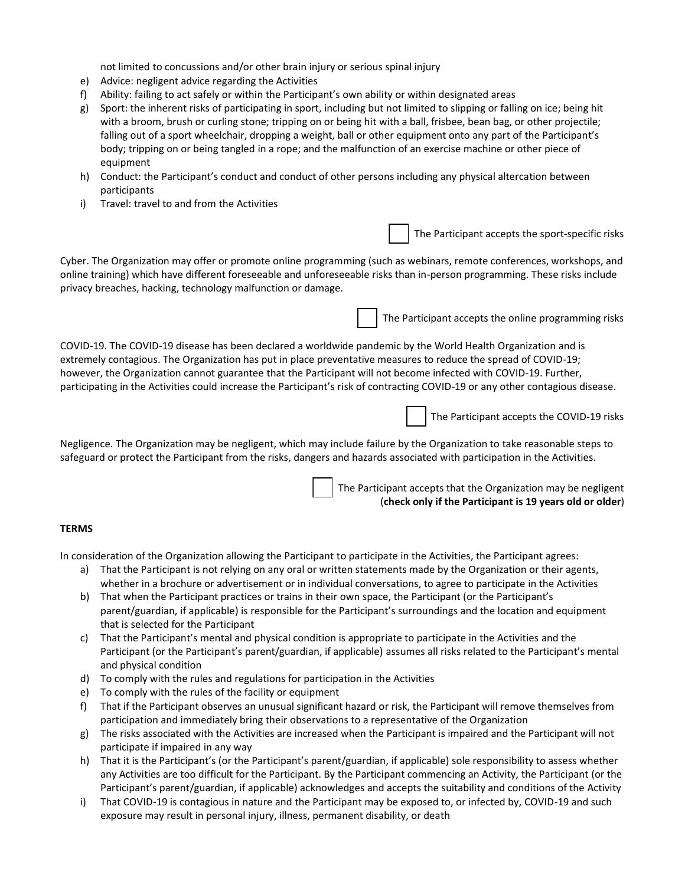not limited to concussions and/or other brain injury or serious spinal injury

- e) Advice: negligent advice regarding the Activities
- f) Ability: failing to act safely or within the Participant's own ability or within designated areas
- g) Sport: the inherent risks of participating in sport, including but not limited to slipping or falling on ice; being hit with a broom, brush or curling stone; tripping on or being hit with a ball, frisbee, bean bag, or other projectile; falling out of a sport wheelchair, dropping a weight, ball or other equipment onto any part of the Participant's body; tripping on or being tangled in a rope; and the malfunction of an exercise machine or other piece of equipment
- h) Conduct: the Participant's conduct and conduct of other persons including any physical altercation between participants
- i) Travel: travel to and from the Activities

The Participant accepts the sport-specific risks

Cyber. The Organization may offer or promote online programming (such as webinars, remote conferences, workshops, and online training) which have different foreseeable and unforeseeable risks than in-person programming. These risks include privacy breaches, hacking, technology malfunction or damage.

The Participant accepts the online programming risks

COVID-19. The COVID-19 disease has been declared a worldwide pandemic by the World Health Organization and is extremely contagious. The Organization has put in place preventative measures to reduce the spread of COVID-19; however, the Organization cannot guarantee that the Participant will not become infected with COVID-19. Further, participating in the Activities could increase the Participant's risk of contracting COVID-19 or any other contagious disease.

The Participant accepts the COVID-19 risks

Negligence. The Organization may be negligent, which may include failure by the Organization to take reasonable steps to safeguard or protect the Participant from the risks, dangers and hazards associated with participation in the Activities.

> The Participant accepts that the Organization may be negligent (**check only if the Participant is 19 years old or older**)

## **TERMS**

In consideration of the Organization allowing the Participant to participate in the Activities, the Participant agrees:

- a) That the Participant is not relying on any oral or written statements made by the Organization or their agents, whether in a brochure or advertisement or in individual conversations, to agree to participate in the Activities
- b) That when the Participant practices or trains in their own space, the Participant (or the Participant's parent/guardian, if applicable) is responsible for the Participant's surroundings and the location and equipment that is selected for the Participant
- c) That the Participant's mental and physical condition is appropriate to participate in the Activities and the Participant (or the Participant's parent/guardian, if applicable) assumes all risks related to the Participant's mental and physical condition
- d) To comply with the rules and regulations for participation in the Activities
- e) To comply with the rules of the facility or equipment
- f) That if the Participant observes an unusual significant hazard or risk, the Participant will remove themselves from participation and immediately bring their observations to a representative of the Organization
- g) The risks associated with the Activities are increased when the Participant is impaired and the Participant will not participate if impaired in any way
- h) That it is the Participant's (or the Participant's parent/guardian, if applicable) sole responsibility to assess whether any Activities are too difficult for the Participant. By the Participant commencing an Activity, the Participant (or the Participant's parent/guardian, if applicable) acknowledges and accepts the suitability and conditions of the Activity
- i) That COVID-19 is contagious in nature and the Participant may be exposed to, or infected by, COVID-19 and such exposure may result in personal injury, illness, permanent disability, or death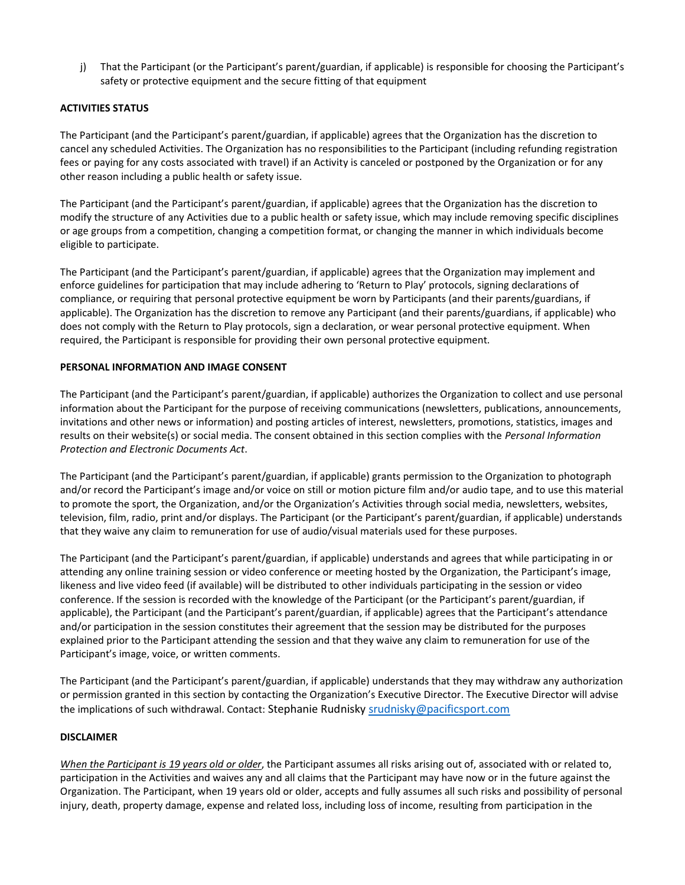j) That the Participant (or the Participant's parent/guardian, if applicable) is responsible for choosing the Participant's safety or protective equipment and the secure fitting of that equipment

# **ACTIVITIES STATUS**

The Participant (and the Participant's parent/guardian, if applicable) agrees that the Organization has the discretion to cancel any scheduled Activities. The Organization has no responsibilities to the Participant (including refunding registration fees or paying for any costs associated with travel) if an Activity is canceled or postponed by the Organization or for any other reason including a public health or safety issue.

The Participant (and the Participant's parent/guardian, if applicable) agrees that the Organization has the discretion to modify the structure of any Activities due to a public health or safety issue, which may include removing specific disciplines or age groups from a competition, changing a competition format, or changing the manner in which individuals become eligible to participate.

The Participant (and the Participant's parent/guardian, if applicable) agrees that the Organization may implement and enforce guidelines for participation that may include adhering to 'Return to Play' protocols, signing declarations of compliance, or requiring that personal protective equipment be worn by Participants (and their parents/guardians, if applicable). The Organization has the discretion to remove any Participant (and their parents/guardians, if applicable) who does not comply with the Return to Play protocols, sign a declaration, or wear personal protective equipment. When required, the Participant is responsible for providing their own personal protective equipment.

## **PERSONAL INFORMATION AND IMAGE CONSENT**

The Participant (and the Participant's parent/guardian, if applicable) authorizes the Organization to collect and use personal information about the Participant for the purpose of receiving communications (newsletters, publications, announcements, invitations and other news or information) and posting articles of interest, newsletters, promotions, statistics, images and results on their website(s) or social media. The consent obtained in this section complies with the *Personal Information Protection and Electronic Documents Act*.

The Participant (and the Participant's parent/guardian, if applicable) grants permission to the Organization to photograph and/or record the Participant's image and/or voice on still or motion picture film and/or audio tape, and to use this material to promote the sport, the Organization, and/or the Organization's Activities through social media, newsletters, websites, television, film, radio, print and/or displays. The Participant (or the Participant's parent/guardian, if applicable) understands that they waive any claim to remuneration for use of audio/visual materials used for these purposes.

The Participant (and the Participant's parent/guardian, if applicable) understands and agrees that while participating in or attending any online training session or video conference or meeting hosted by the Organization, the Participant's image, likeness and live video feed (if available) will be distributed to other individuals participating in the session or video conference. If the session is recorded with the knowledge of the Participant (or the Participant's parent/guardian, if applicable), the Participant (and the Participant's parent/guardian, if applicable) agrees that the Participant's attendance and/or participation in the session constitutes their agreement that the session may be distributed for the purposes explained prior to the Participant attending the session and that they waive any claim to remuneration for use of the Participant's image, voice, or written comments.

The Participant (and the Participant's parent/guardian, if applicable) understands that they may withdraw any authorization or permission granted in this section by contacting the Organization's Executive Director. The Executive Director will advise the implications of such withdrawal. Contact: Stephanie Rudnisk[y srudnisky@pacificsport.com](mailto:srudnisky@pacificsport.com)

## **DISCLAIMER**

*When the Participant is 19 years old or older*, the Participant assumes all risks arising out of, associated with or related to, participation in the Activities and waives any and all claims that the Participant may have now or in the future against the Organization. The Participant, when 19 years old or older, accepts and fully assumes all such risks and possibility of personal injury, death, property damage, expense and related loss, including loss of income, resulting from participation in the